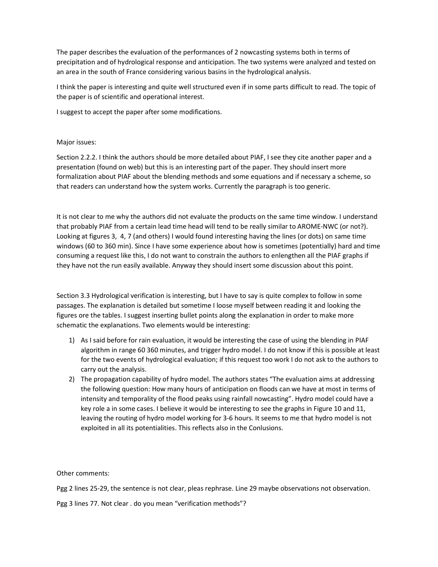The paper describes the evaluation of the performances of 2 nowcasting systems both in terms of precipitation and of hydrological response and anticipation. The two systems were analyzed and tested on an area in the south of France considering various basins in the hydrological analysis.

I think the paper is interesting and quite well structured even if in some parts difficult to read. The topic of the paper is of scientific and operational interest.

I suggest to accept the paper after some modifications.

## Major issues:

Section 2.2.2. I think the authors should be more detailed about PIAF, I see they cite another paper and a presentation (found on web) but this is an interesting part of the paper. They should insert more formalization about PIAF about the blending methods and some equations and if necessary a scheme, so that readers can understand how the system works. Currently the paragraph is too generic.

It is not clear to me why the authors did not evaluate the products on the same time window. I understand that probably PIAF from a certain lead time head will tend to be really similar to AROME-NWC (or not?). Looking at figures 3, 4, 7 (and others) I would found interesting having the lines (or dots) on same time windows (60 to 360 min). Since I have some experience about how is sometimes (potentially) hard and time consuming a request like this, I do not want to constrain the authors to enlengthen all the PIAF graphs if they have not the run easily available. Anyway they should insert some discussion about this point.

Section 3.3 Hydrological verification is interesting, but I have to say is quite complex to follow in some passages. The explanation is detailed but sometime I loose myself between reading it and looking the figures ore the tables. I suggest inserting bullet points along the explanation in order to make more schematic the explanations. Two elements would be interesting:

- 1) As I said before for rain evaluation, it would be interesting the case of using the blending in PIAF algorithm in range 60 360 minutes, and trigger hydro model. I do not know if this is possible at least for the two events of hydrological evaluation; if this request too work I do not ask to the authors to carry out the analysis.
- 2) The propagation capability of hydro model. The authors states "The evaluation aims at addressing the following question: How many hours of anticipation on floods can we have at most in terms of intensity and temporality of the flood peaks using rainfall nowcasting". Hydro model could have a key role a in some cases. I believe it would be interesting to see the graphs in Figure 10 and 11, leaving the routing of hydro model working for 3-6 hours. It seems to me that hydro model is not exploited in all its potentialities. This reflects also in the Conlusions.

Other comments:

Pgg 2 lines 25-29, the sentence is not clear, pleas rephrase. Line 29 maybe observations not observation.

Pgg 3 lines 77. Not clear . do you mean "verification methods"?